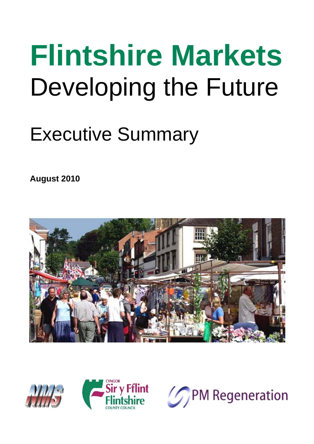# **Flintshire Markets**  Developing the Future

# Executive Summary

**August 2010** 





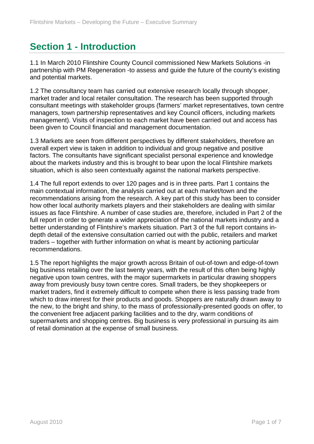## **Section 1 - Introduction**

1.1 In March 2010 Flintshire County Council commissioned New Markets Solutions -in partnership with PM Regeneration -to assess and guide the future of the county's existing and potential markets.

1.2 The consultancy team has carried out extensive research locally through shopper, market trader and local retailer consultation. The research has been supported through consultant meetings with stakeholder groups (farmers' market representatives, town centre managers, town partnership representatives and key Council officers, including markets management). Visits of inspection to each market have been carried out and access has been given to Council financial and management documentation.

1.3 Markets are seen from different perspectives by different stakeholders, therefore an overall expert view is taken in addition to individual and group negative and positive factors. The consultants have significant specialist personal experience and knowledge about the markets industry and this is brought to bear upon the local Flintshire markets situation, which is also seen contextually against the national markets perspective.

1.4 The full report extends to over 120 pages and is in three parts. Part 1 contains the main contextual information, the analysis carried out at each market/town and the recommendations arising from the research. A key part of this study has been to consider how other local authority markets players and their stakeholders are dealing with similar issues as face Flintshire. A number of case studies are, therefore, included in Part 2 of the full report in order to generate a wider appreciation of the national markets industry and a better understanding of Flintshire's markets situation. Part 3 of the full report contains indepth detail of the extensive consultation carried out with the public, retailers and market traders – together with further information on what is meant by actioning particular recommendations.

1.5 The report highlights the major growth across Britain of out-of-town and edge-of-town big business retailing over the last twenty years, with the result of this often being highly negative upon town centres, with the major supermarkets in particular drawing shoppers away from previously busy town centre cores. Small traders, be they shopkeepers or market traders, find it extremely difficult to compete when there is less passing trade from which to draw interest for their products and goods. Shoppers are naturally drawn away to the new, to the bright and shiny, to the mass of professionally-presented goods on offer, to the convenient free adjacent parking facilities and to the dry, warm conditions of supermarkets and shopping centres. Big business is very professional in pursuing its aim of retail domination at the expense of small business.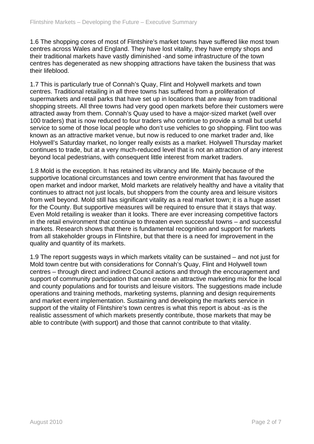1.6 The shopping cores of most of Flintshire's market towns have suffered like most town centres across Wales and England. They have lost vitality, they have empty shops and their traditional markets have vastly diminished -and some infrastructure of the town centres has degenerated as new shopping attractions have taken the business that was their lifeblood.

1.7 This is particularly true of Connah's Quay, Flint and Holywell markets and town centres. Traditional retailing in all three towns has suffered from a proliferation of supermarkets and retail parks that have set up in locations that are away from traditional shopping streets. All three towns had very good open markets before their customers were attracted away from them. Connah's Quay used to have a major-sized market (well over 100 traders) that is now reduced to four traders who continue to provide a small but useful service to some of those local people who don't use vehicles to go shopping. Flint too was known as an attractive market venue, but now is reduced to one market trader and, like Holywell's Saturday market, no longer really exists as a market. Holywell Thursday market continues to trade, but at a very much-reduced level that is not an attraction of any interest beyond local pedestrians, with consequent little interest from market traders.

1.8 Mold is the exception. It has retained its vibrancy and life. Mainly because of the supportive locational circumstances and town centre environment that has favoured the open market and indoor market, Mold markets are relatively healthy and have a vitality that continues to attract not just locals, but shoppers from the county area and leisure visitors from well beyond. Mold still has significant vitality as a real market town; it is a huge asset for the County. But supportive measures will be required to ensure that it stays that way. Even Mold retailing is weaker than it looks. There are ever increasing competitive factors in the retail environment that continue to threaten even successful towns – and successful markets. Research shows that there is fundamental recognition and support for markets from all stakeholder groups in Flintshire, but that there is a need for improvement in the quality and quantity of its markets.

1.9 The report suggests ways in which markets vitality can be sustained – and not just for Mold town centre but with considerations for Connah's Quay, Flint and Holywell town centres – through direct and indirect Council actions and through the encouragement and support of community participation that can create an attractive marketing mix for the local and county populations and for tourists and leisure visitors. The suggestions made include operations and training methods, marketing systems, planning and design requirements and market event implementation. Sustaining and developing the markets service in support of the vitality of Flintshire's town centres is what this report is about -as is the realistic assessment of which markets presently contribute, those markets that may be able to contribute (with support) and those that cannot contribute to that vitality.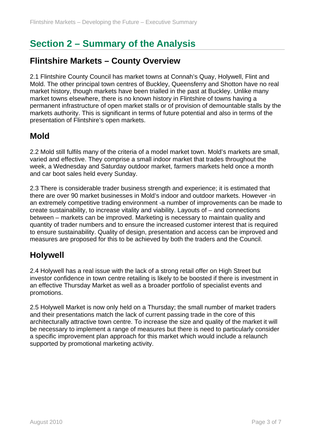# **Section 2 – Summary of the Analysis**

#### **Flintshire Markets – County Overview**

2.1 Flintshire County Council has market towns at Connah's Quay, Holywell, Flint and Mold. The other principal town centres of Buckley, Queensferry and Shotton have no real market history, though markets have been trialled in the past at Buckley. Unlike many market towns elsewhere, there is no known history in Flintshire of towns having a permanent infrastructure of open market stalls or of provision of demountable stalls by the markets authority. This is significant in terms of future potential and also in terms of the presentation of Flintshire's open markets.

#### **Mold**

2.2 Mold still fulfils many of the criteria of a model market town. Mold's markets are small, varied and effective. They comprise a small indoor market that trades throughout the week, a Wednesday and Saturday outdoor market, farmers markets held once a month and car boot sales held every Sunday.

2.3 There is considerable trader business strength and experience; it is estimated that there are over 90 market businesses in Mold's indoor and outdoor markets. However -in an extremely competitive trading environment -a number of improvements can be made to create sustainability, to increase vitality and viability. Layouts of – and connections between – markets can be improved. Marketing is necessary to maintain quality and quantity of trader numbers and to ensure the increased customer interest that is required to ensure sustainability. Quality of design, presentation and access can be improved and measures are proposed for this to be achieved by both the traders and the Council.

#### **Holywell**

2.4 Holywell has a real issue with the lack of a strong retail offer on High Street but investor confidence in town centre retailing is likely to be boosted if there is investment in an effective Thursday Market as well as a broader portfolio of specialist events and promotions.

2.5 Holywell Market is now only held on a Thursday; the small number of market traders and their presentations match the lack of current passing trade in the core of this architecturally attractive town centre. To increase the size and quality of the market it will be necessary to implement a range of measures but there is need to particularly consider a specific improvement plan approach for this market which would include a relaunch supported by promotional marketing activity.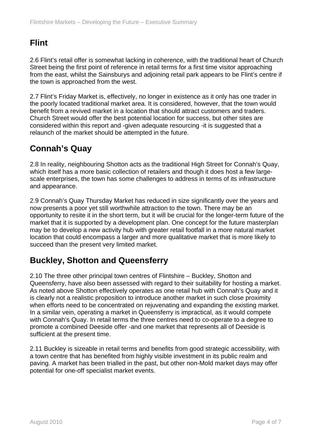#### **Flint**

2.6 Flint's retail offer is somewhat lacking in coherence, with the traditional heart of Church Street being the first point of reference in retail terms for a first time visitor approaching from the east, whilst the Sainsburys and adjoining retail park appears to be Flint's centre if the town is approached from the west.

2.7 Flint's Friday Market is, effectively, no longer in existence as it only has one trader in the poorly located traditional market area. It is considered, however, that the town would benefit from a revived market in a location that should attract customers and traders. Church Street would offer the best potential location for success, but other sites are considered within this report and -given adequate resourcing -it is suggested that a relaunch of the market should be attempted in the future.

#### **Connah's Quay**

2.8 In reality, neighbouring Shotton acts as the traditional High Street for Connah's Quay, which itself has a more basic collection of retailers and though it does host a few largescale enterprises, the town has some challenges to address in terms of its infrastructure and appearance.

2.9 Connah's Quay Thursday Market has reduced in size significantly over the years and now presents a poor yet still worthwhile attraction to the town. There may be an opportunity to resite it in the short term, but it will be crucial for the longer-term future of the market that it is supported by a development plan. One concept for the future masterplan may be to develop a new activity hub with greater retail footfall in a more natural market location that could encompass a larger and more qualitative market that is more likely to succeed than the present very limited market.

#### **Buckley, Shotton and Queensferry**

2.10 The three other principal town centres of Flintshire – Buckley, Shotton and Queensferry, have also been assessed with regard to their suitability for hosting a market. As noted above Shotton effectively operates as one retail hub with Connah's Quay and it is clearly not a realistic proposition to introduce another market in such close proximity when efforts need to be concentrated on rejuvenating and expanding the existing market. In a similar vein, operating a market in Queensferry is impractical, as it would compete with Connah's Quay. In retail terms the three centres need to co-operate to a degree to promote a combined Deeside offer -and one market that represents all of Deeside is sufficient at the present time.

2.11 Buckley is sizeable in retail terms and benefits from good strategic accessibility, with a town centre that has benefited from highly visible investment in its public realm and paving. A market has been trialled in the past, but other non-Mold market days may offer potential for one-off specialist market events.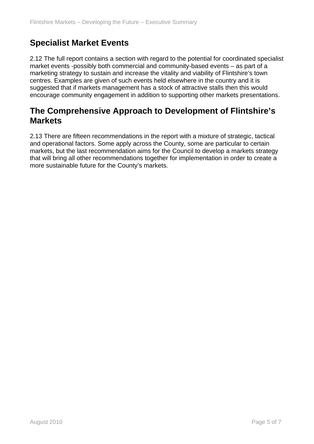#### **Specialist Market Events**

2.12 The full report contains a section with regard to the potential for coordinated specialist market events -possibly both commercial and community-based events – as part of a marketing strategy to sustain and increase the vitality and viability of Flintshire's town centres. Examples are given of such events held elsewhere in the country and it is suggested that if markets management has a stock of attractive stalls then this would encourage community engagement in addition to supporting other markets presentations.

#### **The Comprehensive Approach to Development of Flintshire's Markets**

2.13 There are fifteen recommendations in the report with a mixture of strategic, tactical and operational factors. Some apply across the County, some are particular to certain markets, but the last recommendation aims for the Council to develop a markets strategy that will bring all other recommendations together for implementation in order to create a more sustainable future for the County's markets.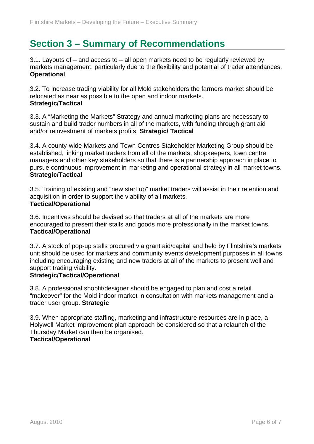### **Section 3 – Summary of Recommendations**

3.1. Layouts of – and access to – all open markets need to be regularly reviewed by markets management, particularly due to the flexibility and potential of trader attendances. **Operational** 

3.2. To increase trading viability for all Mold stakeholders the farmers market should be relocated as near as possible to the open and indoor markets. **Strategic/Tactical** 

3.3. A "Marketing the Markets" Strategy and annual marketing plans are necessary to sustain and build trader numbers in all of the markets, with funding through grant aid and/or reinvestment of markets profits. **Strategic/ Tactical** 

3.4. A county-wide Markets and Town Centres Stakeholder Marketing Group should be established, linking market traders from all of the markets, shopkeepers, town centre managers and other key stakeholders so that there is a partnership approach in place to pursue continuous improvement in marketing and operational strategy in all market towns. **Strategic/Tactical** 

3.5. Training of existing and "new start up" market traders will assist in their retention and acquisition in order to support the viability of all markets. **Tactical/Operational** 

3.6. Incentives should be devised so that traders at all of the markets are more encouraged to present their stalls and goods more professionally in the market towns. **Tactical/Operational** 

3.7. A stock of pop-up stalls procured via grant aid/capital and held by Flintshire's markets unit should be used for markets and community events development purposes in all towns, including encouraging existing and new traders at all of the markets to present well and support trading viability.

#### **Strategic/Tactical/Operational**

3.8. A professional shopfit/designer should be engaged to plan and cost a retail "makeover" for the Mold indoor market in consultation with markets management and a trader user group. **Strategic** 

3.9. When appropriate staffing, marketing and infrastructure resources are in place, a Holywell Market improvement plan approach be considered so that a relaunch of the Thursday Market can then be organised.

#### **Tactical/Operational**